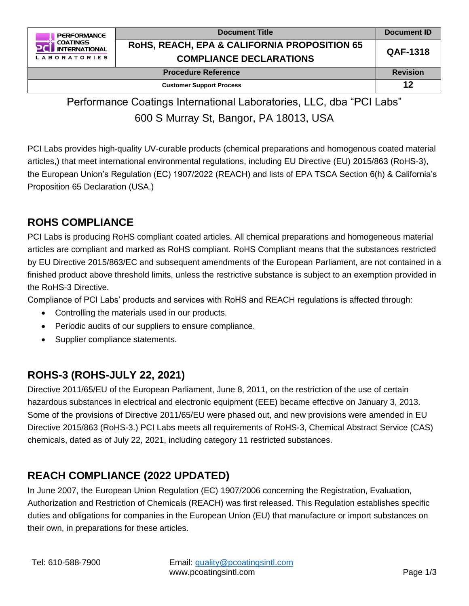

| <b>Document Title</b>                                                                     | Document ID     |
|-------------------------------------------------------------------------------------------|-----------------|
| <b>ROHS, REACH, EPA &amp; CALIFORNIA PROPOSITION 65</b><br><b>COMPLIANCE DECLARATIONS</b> | <b>QAF-1318</b> |
| <b>Procedure Reference</b>                                                                | <b>Revision</b> |
| <b>Customer Support Process</b>                                                           | 12              |

Performance Coatings International Laboratories, LLC, dba "PCI Labs" 600 S Murray St, Bangor, PA 18013, USA

PCI Labs provides high-quality UV-curable products (chemical preparations and homogenous coated material articles,) that meet international environmental regulations, including EU Directive (EU) 2015/863 (RoHS-3), the European Union's Regulation (EC) 1907/2022 (REACH) and lists of EPA TSCA Section 6(h) & California's Proposition 65 Declaration (USA.)

### **ROHS COMPLIANCE**

PCI Labs is producing RoHS compliant coated articles. All chemical preparations and homogeneous material articles are compliant and marked as RoHS compliant. RoHS Compliant means that the substances restricted by EU Directive 2015/863/EC and subsequent amendments of the European Parliament, are not contained in a finished product above threshold limits, unless the restrictive substance is subject to an exemption provided in the RoHS-3 Directive.

Compliance of PCI Labs' products and services with RoHS and REACH regulations is affected through:

- Controlling the materials used in our products.
- Periodic audits of our suppliers to ensure compliance.
- Supplier compliance statements.

# **ROHS-3 (ROHS-JULY 22, 2021)**

Directive 2011/65/EU of the European Parliament, June 8, 2011, on the restriction of the use of certain hazardous substances in electrical and electronic equipment (EEE) became effective on January 3, 2013. Some of the provisions of Directive 2011/65/EU were phased out, and new provisions were amended in EU Directive 2015/863 (RoHS-3.) PCI Labs meets all requirements of RoHS-3, Chemical Abstract Service (CAS) chemicals, dated as of July 22, 2021, including category 11 restricted substances.

# **REACH COMPLIANCE (2022 UPDATED)**

In June 2007, the European Union Regulation (EC) 1907/2006 concerning the Registration, Evaluation, Authorization and Restriction of Chemicals (REACH) was first released. This Regulation establishes specific duties and obligations for companies in the European Union (EU) that manufacture or import substances on their own, in preparations for these articles.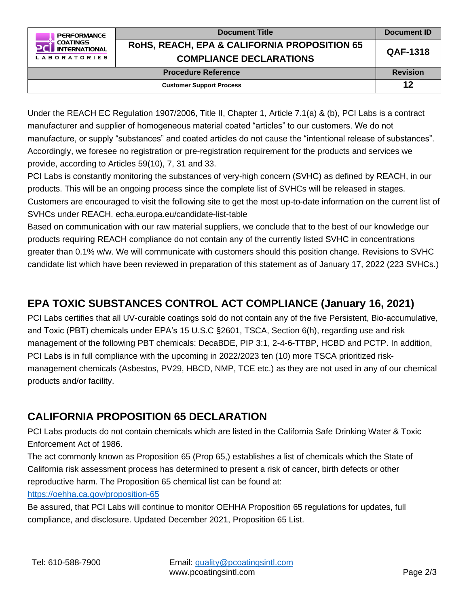

Under the REACH EC Regulation 1907/2006, Title II, Chapter 1, Article 7.1(a) & (b), PCI Labs is a contract manufacturer and supplier of homogeneous material coated "articles" to our customers. We do not manufacture, or supply "substances" and coated articles do not cause the "intentional release of substances". Accordingly, we foresee no registration or pre-registration requirement for the products and services we provide, according to Articles 59(10), 7, 31 and 33.

PCI Labs is constantly monitoring the substances of very-high concern (SVHC) as defined by REACH, in our products. This will be an ongoing process since the complete list of SVHCs will be released in stages. Customers are encouraged to visit the following site to get the most up-to-date information on the current list of SVHCs under REACH. echa.europa.eu/candidate-list-table

Based on communication with our raw material suppliers, we conclude that to the best of our knowledge our products requiring REACH compliance do not contain any of the currently listed SVHC in concentrations greater than 0.1% w/w. We will communicate with customers should this position change. Revisions to SVHC candidate list which have been reviewed in preparation of this statement as of January 17, 2022 (223 SVHCs.)

## **EPA TOXIC SUBSTANCES CONTROL ACT COMPLIANCE (January 16, 2021)**

PCI Labs certifies that all UV-curable coatings sold do not contain any of the five Persistent, Bio-accumulative, and Toxic (PBT) chemicals under EPA's 15 U.S.C §2601, TSCA, Section 6(h), regarding use and risk management of the following PBT chemicals: DecaBDE, PIP 3:1, 2-4-6-TTBP, HCBD and PCTP. In addition, PCI Labs is in full compliance with the upcoming in 2022/2023 ten (10) more TSCA prioritized riskmanagement chemicals (Asbestos, PV29, HBCD, NMP, TCE etc.) as they are not used in any of our chemical products and/or facility.

### **CALIFORNIA PROPOSITION 65 DECLARATION**

PCI Labs products do not contain chemicals which are listed in the California Safe Drinking Water & Toxic Enforcement Act of 1986.

The act commonly known as Proposition 65 (Prop 65,) establishes a list of chemicals which the State of California risk assessment process has determined to present a risk of cancer, birth defects or other reproductive harm. The Proposition 65 chemical list can be found at:

<https://oehha.ca.gov/proposition-65>

Be assured, that PCI Labs will continue to monitor OEHHA Proposition 65 regulations for updates, full compliance, and disclosure. Updated December 2021, Proposition 65 List.